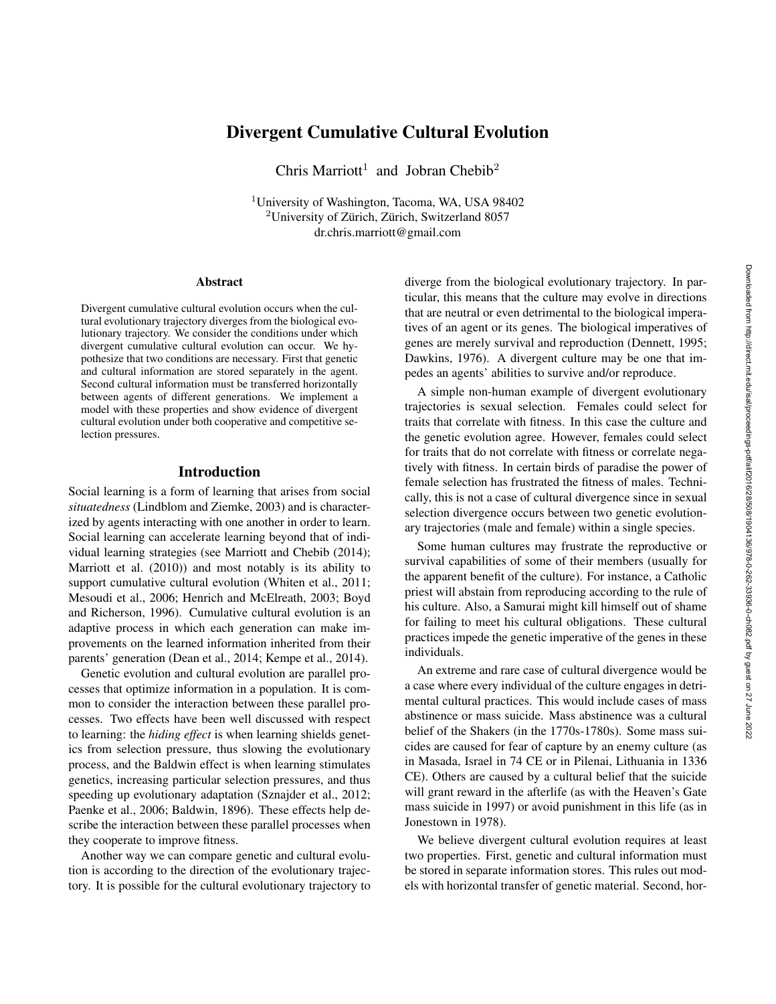# Divergent Cumulative Cultural Evolution

Chris Marriott<sup>1</sup> and Jobran Chebib<sup>2</sup>

<sup>1</sup>University of Washington, Tacoma, WA, USA 98402 <sup>2</sup>University of Zürich, Zürich, Switzerland 8057 dr.chris.marriott@gmail.com

#### **Abstract**

Divergent cumulative cultural evolution occurs when the cultural evolutionary trajectory diverges from the biological evolutionary trajectory. We consider the conditions under which divergent cumulative cultural evolution can occur. We hypothesize that two conditions are necessary. First that genetic and cultural information are stored separately in the agent. Second cultural information must be transferred horizontally between agents of different generations. We implement a model with these properties and show evidence of divergent cultural evolution under both cooperative and competitive selection pressures.

## Introduction

Social learning is a form of learning that arises from social *situatedness* (Lindblom and Ziemke, 2003) and is characterized by agents interacting with one another in order to learn. Social learning can accelerate learning beyond that of individual learning strategies (see Marriott and Chebib (2014); Marriott et al. (2010)) and most notably is its ability to support cumulative cultural evolution (Whiten et al., 2011; Mesoudi et al., 2006; Henrich and McElreath, 2003; Boyd and Richerson, 1996). Cumulative cultural evolution is an adaptive process in which each generation can make improvements on the learned information inherited from their parents' generation (Dean et al., 2014; Kempe et al., 2014).

Genetic evolution and cultural evolution are parallel processes that optimize information in a population. It is common to consider the interaction between these parallel processes. Two effects have been well discussed with respect to learning: the *hiding effect* is when learning shields genetics from selection pressure, thus slowing the evolutionary process, and the Baldwin effect is when learning stimulates genetics, increasing particular selection pressures, and thus speeding up evolutionary adaptation (Sznajder et al., 2012; Paenke et al., 2006; Baldwin, 1896). These effects help describe the interaction between these parallel processes when they cooperate to improve fitness.

Another way we can compare genetic and cultural evolution is according to the direction of the evolutionary trajectory. It is possible for the cultural evolutionary trajectory to diverge from the biological evolutionary trajectory. In particular, this means that the culture may evolve in directions that are neutral or even detrimental to the biological imperatives of an agent or its genes. The biological imperatives of genes are merely survival and reproduction (Dennett, 1995; Dawkins, 1976). A divergent culture may be one that impedes an agents' abilities to survive and/or reproduce.

A simple non-human example of divergent evolutionary trajectories is sexual selection. Females could select for traits that correlate with fitness. In this case the culture and the genetic evolution agree. However, females could select for traits that do not correlate with fitness or correlate negatively with fitness. In certain birds of paradise the power of female selection has frustrated the fitness of males. Technically, this is not a case of cultural divergence since in sexual selection divergence occurs between two genetic evolutionary trajectories (male and female) within a single species.

Some human cultures may frustrate the reproductive or survival capabilities of some of their members (usually for the apparent benefit of the culture). For instance, a Catholic priest will abstain from reproducing according to the rule of his culture. Also, a Samurai might kill himself out of shame for failing to meet his cultural obligations. These cultural practices impede the genetic imperative of the genes in these individuals.

An extreme and rare case of cultural divergence would be a case where every individual of the culture engages in detrimental cultural practices. This would include cases of mass abstinence or mass suicide. Mass abstinence was a cultural belief of the Shakers (in the 1770s-1780s). Some mass suicides are caused for fear of capture by an enemy culture (as in Masada, Israel in 74 CE or in Pilenai, Lithuania in 1336 CE). Others are caused by a cultural belief that the suicide will grant reward in the afterlife (as with the Heaven's Gate mass suicide in 1997) or avoid punishment in this life (as in Jonestown in 1978).

We believe divergent cultural evolution requires at least two properties. First, genetic and cultural information must be stored in separate information stores. This rules out models with horizontal transfer of genetic material. Second, hor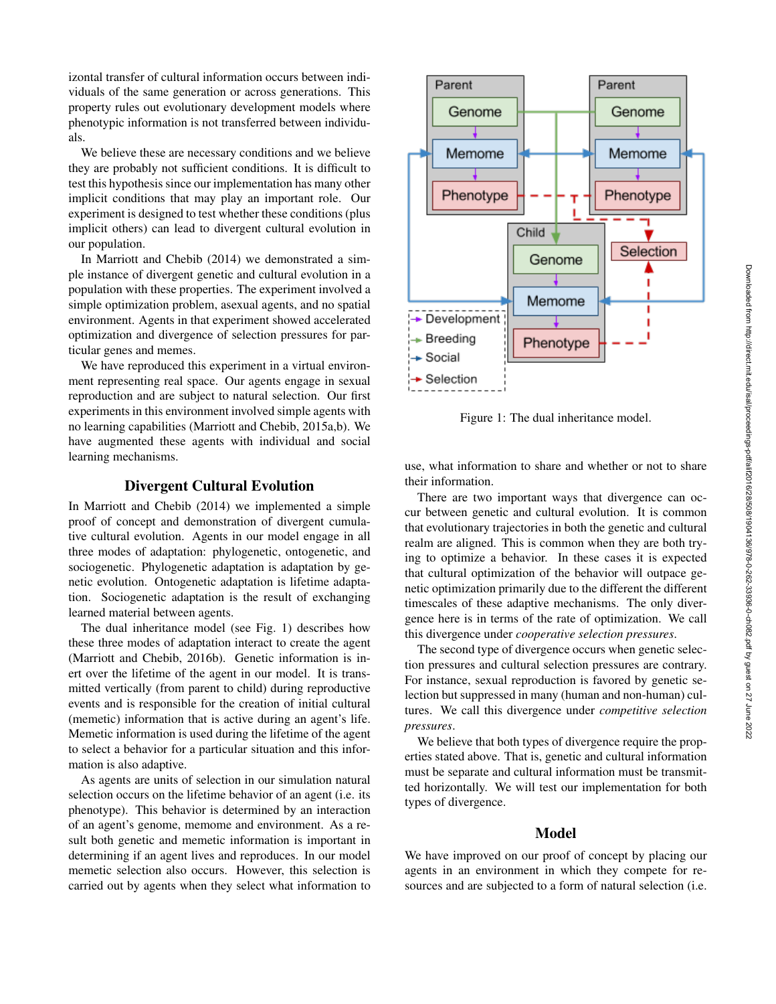izontal transfer of cultural information occurs between individuals of the same generation or across generations. This property rules out evolutionary development models where phenotypic information is not transferred between individuals.

We believe these are necessary conditions and we believe they are probably not sufficient conditions. It is difficult to test this hypothesis since our implementation has many other implicit conditions that may play an important role. Our experiment is designed to test whether these conditions (plus implicit others) can lead to divergent cultural evolution in our population.

In Marriott and Chebib (2014) we demonstrated a simple instance of divergent genetic and cultural evolution in a population with these properties. The experiment involved a simple optimization problem, asexual agents, and no spatial environment. Agents in that experiment showed accelerated optimization and divergence of selection pressures for particular genes and memes.

We have reproduced this experiment in a virtual environment representing real space. Our agents engage in sexual reproduction and are subject to natural selection. Our first experiments in this environment involved simple agents with no learning capabilities (Marriott and Chebib, 2015a,b). We have augmented these agents with individual and social learning mechanisms.

# Divergent Cultural Evolution

In Marriott and Chebib (2014) we implemented a simple proof of concept and demonstration of divergent cumulative cultural evolution. Agents in our model engage in all three modes of adaptation: phylogenetic, ontogenetic, and sociogenetic. Phylogenetic adaptation is adaptation by genetic evolution. Ontogenetic adaptation is lifetime adaptation. Sociogenetic adaptation is the result of exchanging learned material between agents.

The dual inheritance model (see Fig. 1) describes how these three modes of adaptation interact to create the agent (Marriott and Chebib, 2016b). Genetic information is inert over the lifetime of the agent in our model. It is transmitted vertically (from parent to child) during reproductive events and is responsible for the creation of initial cultural (memetic) information that is active during an agent's life. Memetic information is used during the lifetime of the agent to select a behavior for a particular situation and this information is also adaptive.

As agents are units of selection in our simulation natural selection occurs on the lifetime behavior of an agent (i.e. its phenotype). This behavior is determined by an interaction of an agent's genome, memome and environment. As a result both genetic and memetic information is important in determining if an agent lives and reproduces. In our model memetic selection also occurs. However, this selection is carried out by agents when they select what information to



Figure 1: The dual inheritance model.

use, what information to share and whether or not to share their information.

There are two important ways that divergence can occur between genetic and cultural evolution. It is common that evolutionary trajectories in both the genetic and cultural realm are aligned. This is common when they are both trying to optimize a behavior. In these cases it is expected that cultural optimization of the behavior will outpace genetic optimization primarily due to the different the different timescales of these adaptive mechanisms. The only divergence here is in terms of the rate of optimization. We call this divergence under *cooperative selection pressures*.

The second type of divergence occurs when genetic selection pressures and cultural selection pressures are contrary. For instance, sexual reproduction is favored by genetic selection but suppressed in many (human and non-human) cultures. We call this divergence under *competitive selection pressures*.

We believe that both types of divergence require the properties stated above. That is, genetic and cultural information must be separate and cultural information must be transmitted horizontally. We will test our implementation for both types of divergence.

#### Model

We have improved on our proof of concept by placing our agents in an environment in which they compete for resources and are subjected to a form of natural selection (i.e.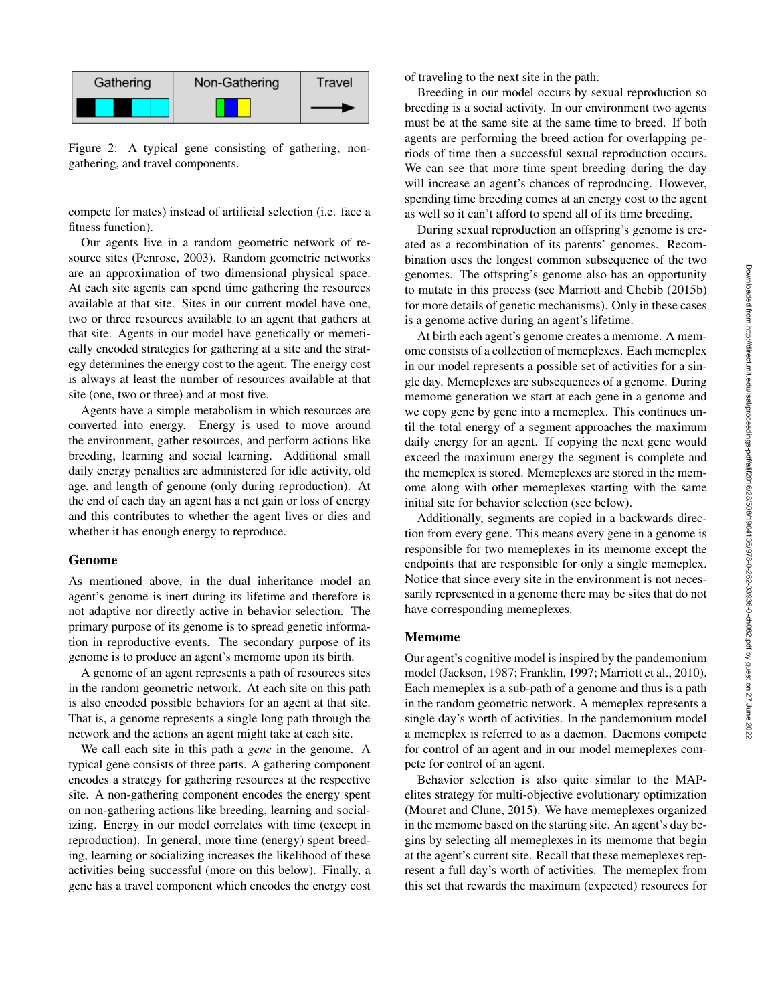

Figure 2: A typical gene consisting of gathering, nongathering, and travel components.

compete for mates) instead of artificial selection (i.e. face a fitness function).

Our agents live in a random geometric network of resource sites (Penrose, 2003). Random geometric networks are an approximation of two dimensional physical space. At each site agents can spend time gathering the resources available at that site. Sites in our current model have one, two or three resources available to an agent that gathers at that site. Agents in our model have genetically or memetically encoded strategies for gathering at a site and the strategy determines the energy cost to the agent. The energy cost is always at least the number of resources available at that site (one, two or three) and at most five.

Agents have a simple metabolism in which resources are converted into energy. Energy is used to move around the environment, gather resources, and perform actions like breeding, learning and social learning. Additional small daily energy penalties are administered for idle activity, old age, and length of genome (only during reproduction). At the end of each day an agent has a net gain or loss of energy and this contributes to whether the agent lives or dies and whether it has enough energy to reproduce.

#### Genome

As mentioned above, in the dual inheritance model an agent's genome is inert during its lifetime and therefore is not adaptive nor directly active in behavior selection. The primary purpose of its genome is to spread genetic information in reproductive events. The secondary purpose of its genome is to produce an agent's memome upon its birth.

A genome of an agent represents a path of resources sites in the random geometric network. At each site on this path is also encoded possible behaviors for an agent at that site. That is, a genome represents a single long path through the network and the actions an agent might take at each site.

We call each site in this path a *gene* in the genome. A typical gene consists of three parts. A gathering component encodes a strategy for gathering resources at the respective site. A non-gathering component encodes the energy spent on non-gathering actions like breeding, learning and socializing. Energy in our model correlates with time (except in reproduction). In general, more time (energy) spent breeding, learning or socializing increases the likelihood of these activities being successful (more on this below). Finally, a gene has a travel component which encodes the energy cost

of traveling to the next site in the path.

Breeding in our model occurs by sexual reproduction so breeding is a social activity. In our environment two agents must be at the same site at the same time to breed. If both agents are performing the breed action for overlapping periods of time then a successful sexual reproduction occurs. We can see that more time spent breeding during the day will increase an agent's chances of reproducing. However, spending time breeding comes at an energy cost to the agent as well so it can't afford to spend all of its time breeding.

During sexual reproduction an offspring's genome is created as a recombination of its parents' genomes. Recombination uses the longest common subsequence of the two genomes. The offspring's genome also has an opportunity to mutate in this process (see Marriott and Chebib (2015b) for more details of genetic mechanisms). Only in these cases is a genome active during an agent's lifetime.

At birth each agent's genome creates a memome. A memome consists of a collection of memeplexes. Each memeplex in our model represents a possible set of activities for a single day. Memeplexes are subsequences of a genome. During memome generation we start at each gene in a genome and we copy gene by gene into a memeplex. This continues until the total energy of a segment approaches the maximum daily energy for an agent. If copying the next gene would exceed the maximum energy the segment is complete and the memeplex is stored. Memeplexes are stored in the memome along with other memeplexes starting with the same initial site for behavior selection (see below).

Additionally, segments are copied in a backwards direction from every gene. This means every gene in a genome is responsible for two memeplexes in its memome except the endpoints that are responsible for only a single memeplex. Notice that since every site in the environment is not necessarily represented in a genome there may be sites that do not have corresponding memeplexes.

#### Memome

Our agent's cognitive model is inspired by the pandemonium model (Jackson, 1987; Franklin, 1997; Marriott et al., 2010). Each memeplex is a sub-path of a genome and thus is a path in the random geometric network. A memeplex represents a single day's worth of activities. In the pandemonium model a memeplex is referred to as a daemon. Daemons compete for control of an agent and in our model memeplexes compete for control of an agent.

Behavior selection is also quite similar to the MAPelites strategy for multi-objective evolutionary optimization (Mouret and Clune, 2015). We have memeplexes organized in the memome based on the starting site. An agent's day begins by selecting all memeplexes in its memome that begin at the agent's current site. Recall that these memeplexes represent a full day's worth of activities. The memeplex from this set that rewards the maximum (expected) resources for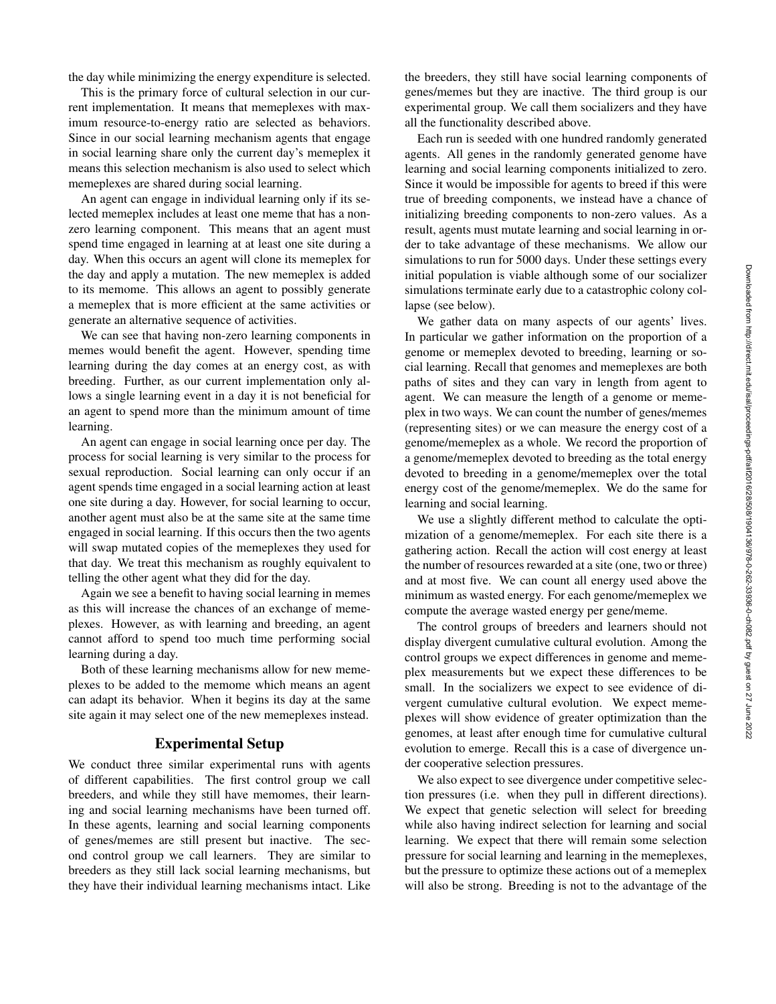the day while minimizing the energy expenditure is selected.

This is the primary force of cultural selection in our current implementation. It means that memeplexes with maximum resource-to-energy ratio are selected as behaviors. Since in our social learning mechanism agents that engage in social learning share only the current day's memeplex it means this selection mechanism is also used to select which memeplexes are shared during social learning.

An agent can engage in individual learning only if its selected memeplex includes at least one meme that has a nonzero learning component. This means that an agent must spend time engaged in learning at at least one site during a day. When this occurs an agent will clone its memeplex for the day and apply a mutation. The new memeplex is added to its memome. This allows an agent to possibly generate a memeplex that is more efficient at the same activities or generate an alternative sequence of activities.

We can see that having non-zero learning components in memes would benefit the agent. However, spending time learning during the day comes at an energy cost, as with breeding. Further, as our current implementation only allows a single learning event in a day it is not beneficial for an agent to spend more than the minimum amount of time learning.

An agent can engage in social learning once per day. The process for social learning is very similar to the process for sexual reproduction. Social learning can only occur if an agent spends time engaged in a social learning action at least one site during a day. However, for social learning to occur, another agent must also be at the same site at the same time engaged in social learning. If this occurs then the two agents will swap mutated copies of the memeplexes they used for that day. We treat this mechanism as roughly equivalent to telling the other agent what they did for the day.

Again we see a benefit to having social learning in memes as this will increase the chances of an exchange of memeplexes. However, as with learning and breeding, an agent cannot afford to spend too much time performing social learning during a day.

Both of these learning mechanisms allow for new memeplexes to be added to the memome which means an agent can adapt its behavior. When it begins its day at the same site again it may select one of the new memeplexes instead.

## Experimental Setup

We conduct three similar experimental runs with agents of different capabilities. The first control group we call breeders, and while they still have memomes, their learning and social learning mechanisms have been turned off. In these agents, learning and social learning components of genes/memes are still present but inactive. The second control group we call learners. They are similar to breeders as they still lack social learning mechanisms, but they have their individual learning mechanisms intact. Like

the breeders, they still have social learning components of genes/memes but they are inactive. The third group is our experimental group. We call them socializers and they have all the functionality described above.

Each run is seeded with one hundred randomly generated agents. All genes in the randomly generated genome have learning and social learning components initialized to zero. Since it would be impossible for agents to breed if this were true of breeding components, we instead have a chance of initializing breeding components to non-zero values. As a result, agents must mutate learning and social learning in order to take advantage of these mechanisms. We allow our simulations to run for 5000 days. Under these settings every initial population is viable although some of our socializer simulations terminate early due to a catastrophic colony collapse (see below).

We gather data on many aspects of our agents' lives. In particular we gather information on the proportion of a genome or memeplex devoted to breeding, learning or social learning. Recall that genomes and memeplexes are both paths of sites and they can vary in length from agent to agent. We can measure the length of a genome or memeplex in two ways. We can count the number of genes/memes (representing sites) or we can measure the energy cost of a genome/memeplex as a whole. We record the proportion of a genome/memeplex devoted to breeding as the total energy devoted to breeding in a genome/memeplex over the total energy cost of the genome/memeplex. We do the same for learning and social learning.

We use a slightly different method to calculate the optimization of a genome/memeplex. For each site there is a gathering action. Recall the action will cost energy at least the number of resources rewarded at a site (one, two or three) and at most five. We can count all energy used above the minimum as wasted energy. For each genome/memeplex we compute the average wasted energy per gene/meme.

The control groups of breeders and learners should not display divergent cumulative cultural evolution. Among the control groups we expect differences in genome and memeplex measurements but we expect these differences to be small. In the socializers we expect to see evidence of divergent cumulative cultural evolution. We expect memeplexes will show evidence of greater optimization than the genomes, at least after enough time for cumulative cultural evolution to emerge. Recall this is a case of divergence under cooperative selection pressures.

We also expect to see divergence under competitive selection pressures (i.e. when they pull in different directions). We expect that genetic selection will select for breeding while also having indirect selection for learning and social learning. We expect that there will remain some selection pressure for social learning and learning in the memeplexes, but the pressure to optimize these actions out of a memeplex will also be strong. Breeding is not to the advantage of the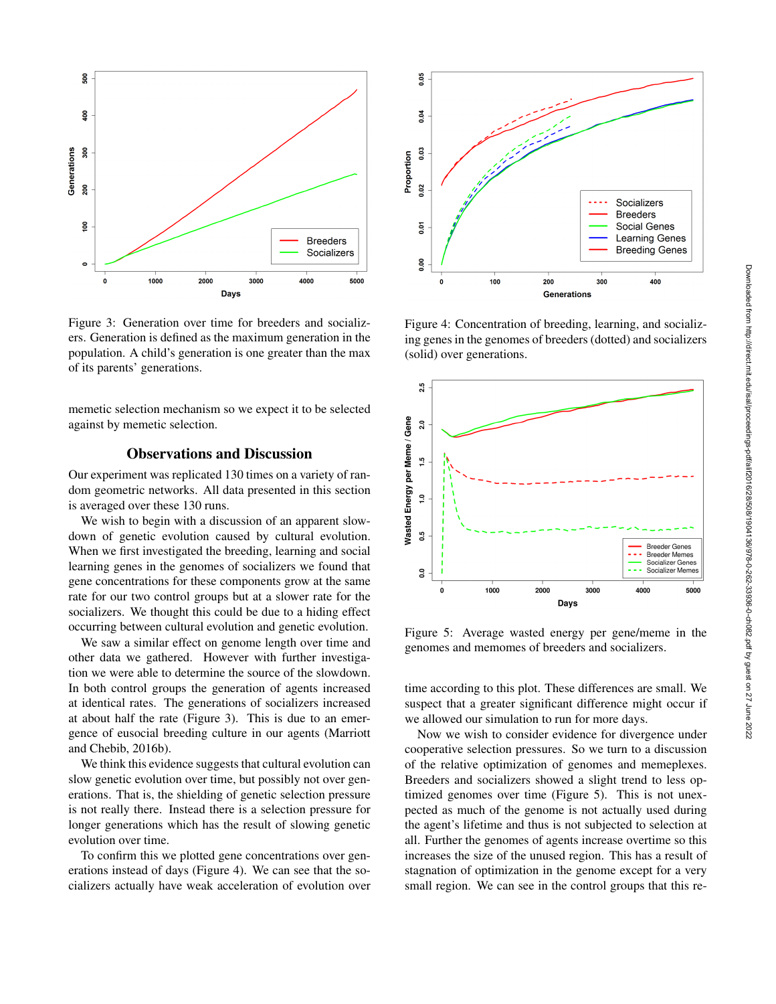

Figure 3: Generation over time for breeders and socializers. Generation is defined as the maximum generation in the population. A child's generation is one greater than the max of its parents' generations.

memetic selection mechanism so we expect it to be selected against by memetic selection.

# Observations and Discussion

Our experiment was replicated 130 times on a variety of random geometric networks. All data presented in this section is averaged over these 130 runs.

We wish to begin with a discussion of an apparent slowdown of genetic evolution caused by cultural evolution. When we first investigated the breeding, learning and social learning genes in the genomes of socializers we found that gene concentrations for these components grow at the same rate for our two control groups but at a slower rate for the socializers. We thought this could be due to a hiding effect occurring between cultural evolution and genetic evolution.

We saw a similar effect on genome length over time and other data we gathered. However with further investigation we were able to determine the source of the slowdown. In both control groups the generation of agents increased at identical rates. The generations of socializers increased at about half the rate (Figure 3). This is due to an emergence of eusocial breeding culture in our agents (Marriott and Chebib, 2016b).

We think this evidence suggests that cultural evolution can slow genetic evolution over time, but possibly not over generations. That is, the shielding of genetic selection pressure is not really there. Instead there is a selection pressure for longer generations which has the result of slowing genetic evolution over time.

To confirm this we plotted gene concentrations over generations instead of days (Figure 4). We can see that the socializers actually have weak acceleration of evolution over



Figure 4: Concentration of breeding, learning, and socializing genes in the genomes of breeders (dotted) and socializers (solid) over generations.



Figure 5: Average wasted energy per gene/meme in the genomes and memomes of breeders and socializers.

time according to this plot. These differences are small. We suspect that a greater significant difference might occur if we allowed our simulation to run for more days.

Now we wish to consider evidence for divergence under cooperative selection pressures. So we turn to a discussion of the relative optimization of genomes and memeplexes. Breeders and socializers showed a slight trend to less optimized genomes over time (Figure 5). This is not unexpected as much of the genome is not actually used during the agent's lifetime and thus is not subjected to selection at all. Further the genomes of agents increase overtime so this increases the size of the unused region. This has a result of stagnation of optimization in the genome except for a very small region. We can see in the control groups that this re-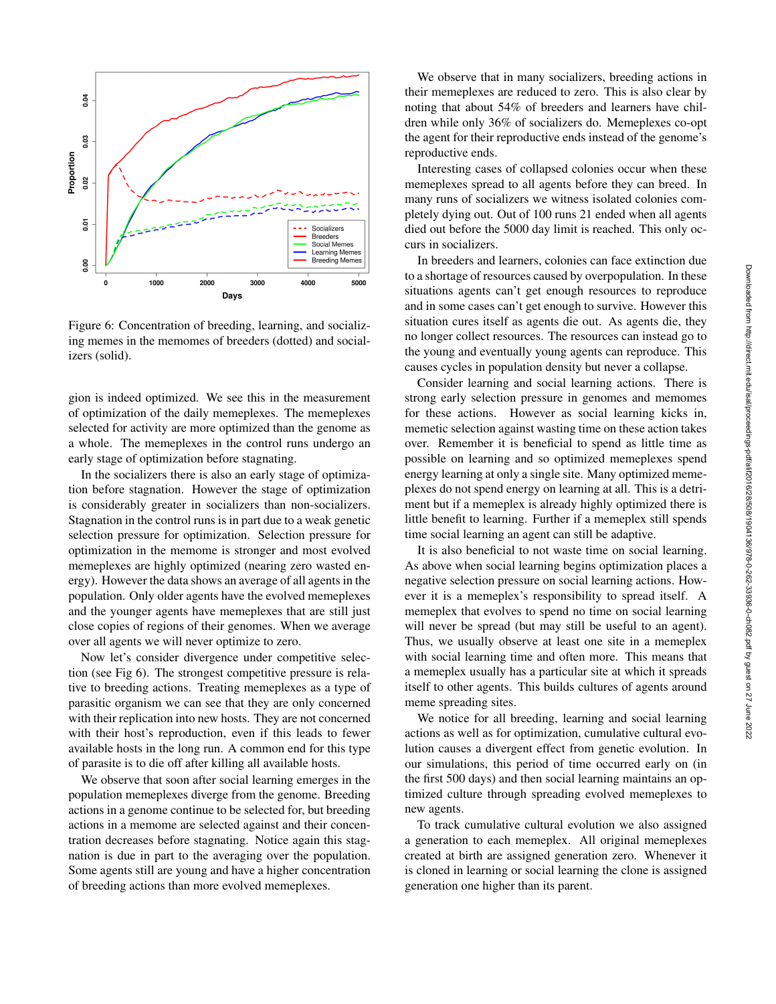

Figure 6: Concentration of breeding, learning, and socializing memes in the memomes of breeders (dotted) and socializers (solid).

gion is indeed optimized. We see this in the measurement of optimization of the daily memeplexes. The memeplexes selected for activity are more optimized than the genome as a whole. The memeplexes in the control runs undergo an early stage of optimization before stagnating.

In the socializers there is also an early stage of optimization before stagnation. However the stage of optimization is considerably greater in socializers than non-socializers. Stagnation in the control runs is in part due to a weak genetic selection pressure for optimization. Selection pressure for optimization in the memome is stronger and most evolved memeplexes are highly optimized (nearing zero wasted energy). However the data shows an average of all agents in the population. Only older agents have the evolved memeplexes and the younger agents have memeplexes that are still just close copies of regions of their genomes. When we average over all agents we will never optimize to zero.

Now let's consider divergence under competitive selection (see Fig 6). The strongest competitive pressure is relative to breeding actions. Treating memeplexes as a type of parasitic organism we can see that they are only concerned with their replication into new hosts. They are not concerned with their host's reproduction, even if this leads to fewer available hosts in the long run. A common end for this type of parasite is to die off after killing all available hosts.

We observe that soon after social learning emerges in the population memeplexes diverge from the genome. Breeding actions in a genome continue to be selected for, but breeding actions in a memome are selected against and their concentration decreases before stagnating. Notice again this stagnation is due in part to the averaging over the population. Some agents still are young and have a higher concentration of breeding actions than more evolved memeplexes.

We observe that in many socializers, breeding actions in their memeplexes are reduced to zero. This is also clear by noting that about 54% of breeders and learners have children while only 36% of socializers do. Memeplexes co-opt the agent for their reproductive ends instead of the genome's reproductive ends.

Interesting cases of collapsed colonies occur when these memeplexes spread to all agents before they can breed. In many runs of socializers we witness isolated colonies completely dying out. Out of 100 runs 21 ended when all agents died out before the 5000 day limit is reached. This only occurs in socializers.

In breeders and learners, colonies can face extinction due to a shortage of resources caused by overpopulation. In these situations agents can't get enough resources to reproduce and in some cases can't get enough to survive. However this situation cures itself as agents die out. As agents die, they no longer collect resources. The resources can instead go to the young and eventually young agents can reproduce. This causes cycles in population density but never a collapse.

Consider learning and social learning actions. There is strong early selection pressure in genomes and memomes for these actions. However as social learning kicks in, memetic selection against wasting time on these action takes over. Remember it is beneficial to spend as little time as possible on learning and so optimized memeplexes spend energy learning at only a single site. Many optimized memeplexes do not spend energy on learning at all. This is a detriment but if a memeplex is already highly optimized there is little benefit to learning. Further if a memeplex still spends time social learning an agent can still be adaptive.

It is also beneficial to not waste time on social learning. As above when social learning begins optimization places a negative selection pressure on social learning actions. However it is a memeplex's responsibility to spread itself. A memeplex that evolves to spend no time on social learning will never be spread (but may still be useful to an agent). Thus, we usually observe at least one site in a memeplex with social learning time and often more. This means that a memeplex usually has a particular site at which it spreads itself to other agents. This builds cultures of agents around meme spreading sites.

We notice for all breeding, learning and social learning actions as well as for optimization, cumulative cultural evolution causes a divergent effect from genetic evolution. In our simulations, this period of time occurred early on (in the first 500 days) and then social learning maintains an optimized culture through spreading evolved memeplexes to new agents.

To track cumulative cultural evolution we also assigned a generation to each memeplex. All original memeplexes created at birth are assigned generation zero. Whenever it is cloned in learning or social learning the clone is assigned generation one higher than its parent.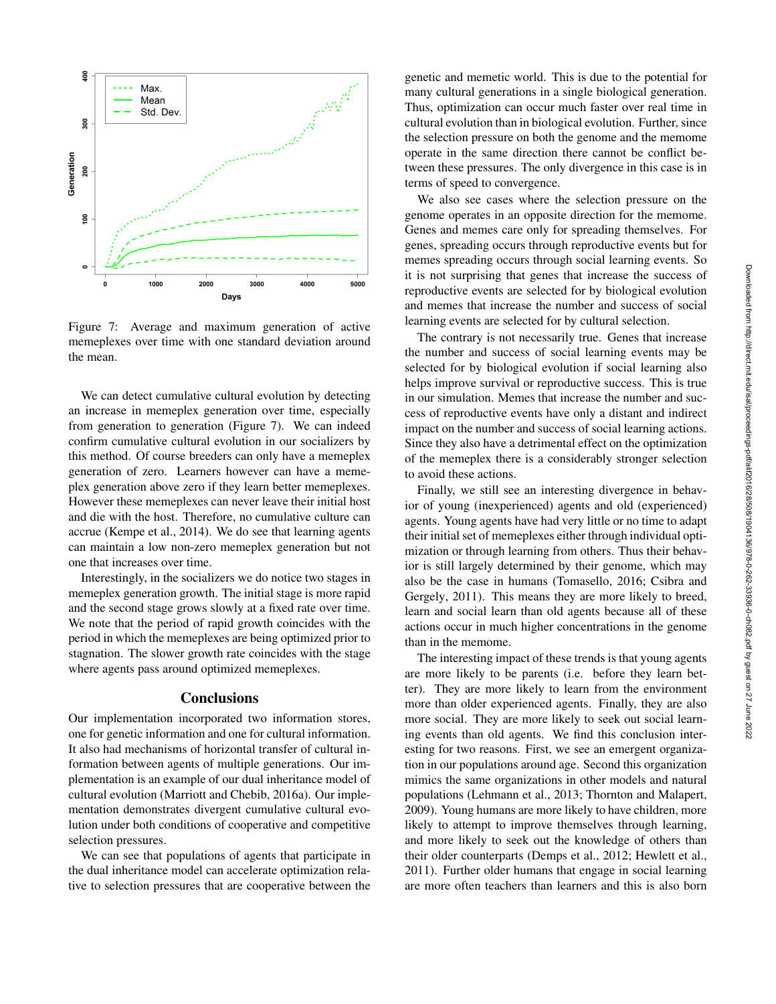

Figure 7: Average and maximum generation of active memeplexes over time with one standard deviation around the mean.

We can detect cumulative cultural evolution by detecting an increase in memeplex generation over time, especially from generation to generation (Figure 7). We can indeed confirm cumulative cultural evolution in our socializers by this method. Of course breeders can only have a memeplex generation of zero. Learners however can have a memeplex generation above zero if they learn better memeplexes. However these memeplexes can never leave their initial host and die with the host. Therefore, no cumulative culture can accrue (Kempe et al., 2014). We do see that learning agents can maintain a low non-zero memeplex generation but not one that increases over time.

Interestingly, in the socializers we do notice two stages in memeplex generation growth. The initial stage is more rapid and the second stage grows slowly at a fixed rate over time. We note that the period of rapid growth coincides with the period in which the memeplexes are being optimized prior to stagnation. The slower growth rate coincides with the stage where agents pass around optimized memeplexes.

## **Conclusions**

Our implementation incorporated two information stores, one for genetic information and one for cultural information. It also had mechanisms of horizontal transfer of cultural information between agents of multiple generations. Our implementation is an example of our dual inheritance model of cultural evolution (Marriott and Chebib, 2016a). Our implementation demonstrates divergent cumulative cultural evolution under both conditions of cooperative and competitive selection pressures.

We can see that populations of agents that participate in the dual inheritance model can accelerate optimization relative to selection pressures that are cooperative between the

genetic and memetic world. This is due to the potential for many cultural generations in a single biological generation. Thus, optimization can occur much faster over real time in cultural evolution than in biological evolution. Further, since the selection pressure on both the genome and the memome operate in the same direction there cannot be conflict between these pressures. The only divergence in this case is in terms of speed to convergence.

We also see cases where the selection pressure on the genome operates in an opposite direction for the memome. Genes and memes care only for spreading themselves. For genes, spreading occurs through reproductive events but for memes spreading occurs through social learning events. So it is not surprising that genes that increase the success of reproductive events are selected for by biological evolution and memes that increase the number and success of social learning events are selected for by cultural selection.

The contrary is not necessarily true. Genes that increase the number and success of social learning events may be selected for by biological evolution if social learning also helps improve survival or reproductive success. This is true in our simulation. Memes that increase the number and success of reproductive events have only a distant and indirect impact on the number and success of social learning actions. Since they also have a detrimental effect on the optimization of the memeplex there is a considerably stronger selection to avoid these actions.

Finally, we still see an interesting divergence in behavior of young (inexperienced) agents and old (experienced) agents. Young agents have had very little or no time to adapt their initial set of memeplexes either through individual optimization or through learning from others. Thus their behavior is still largely determined by their genome, which may also be the case in humans (Tomasello, 2016; Csibra and Gergely, 2011). This means they are more likely to breed, learn and social learn than old agents because all of these actions occur in much higher concentrations in the genome than in the memome.

The interesting impact of these trends is that young agents are more likely to be parents (i.e. before they learn better). They are more likely to learn from the environment more than older experienced agents. Finally, they are also more social. They are more likely to seek out social learning events than old agents. We find this conclusion interesting for two reasons. First, we see an emergent organization in our populations around age. Second this organization mimics the same organizations in other models and natural populations (Lehmann et al., 2013; Thornton and Malapert, 2009). Young humans are more likely to have children, more likely to attempt to improve themselves through learning, and more likely to seek out the knowledge of others than their older counterparts (Demps et al., 2012; Hewlett et al., 2011). Further older humans that engage in social learning are more often teachers than learners and this is also born